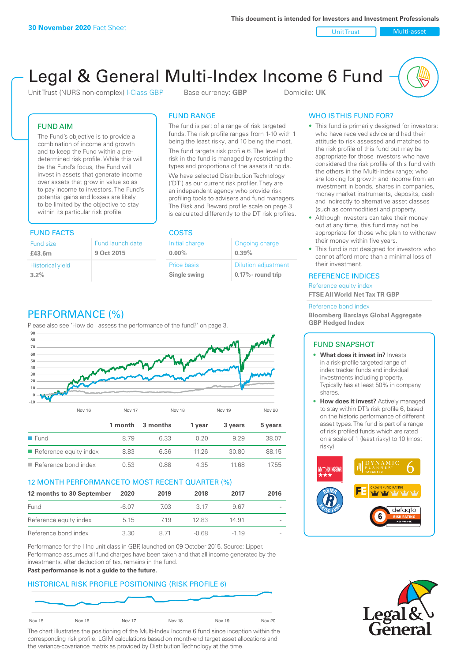Unit Trust Nulti-asset

# Legal & General Multi-Index Income 6 Fund

Unit Trust (NURS non-complex) I-Class GBP Base currency: **GBP** Domicile: UK

### FUND AIM

The Fund's objective is to provide a combination of income and growth and to keep the Fund within a predetermined risk profile. While this will be the Fund's focus, the Fund will invest in assets that generate income over assets that grow in value so as to pay income to investors. The Fund's potential gains and losses are likely to be limited by the objective to stay within its particular risk profile.

### FUND FACTS COSTS

| Fund size               | Fund launch date |
|-------------------------|------------------|
| £43.6m                  | 9 Oct 2015       |
| <b>Historical yield</b> |                  |
| 3.2%                    |                  |

### FUND RANGE

The fund is part of a range of risk targeted funds. The risk profile ranges from 1-10 with 1 being the least risky, and 10 being the most.

The fund targets risk profile 6. The level of risk in the fund is managed by restricting the types and proportions of the assets it holds. We have selected Distribution Technology ('DT') as our current risk profiler. They are an independent agency who provide risk profiling tools to advisers and fund managers. The Risk and Reward profile scale on page 3 is calculated differently to the DT risk profiles.

| Initial charge | Ongoing charge             |
|----------------|----------------------------|
| $0.00\%$       | 0.39%                      |
| Price basis    | <b>Dilution adjustment</b> |
| Single swing   | 0.17% - round trip         |

### PERFORMANCE (%)

Please also see 'How do I assess the performance of the fund?' on page 3.



### 12 MONTH PERFORMANCE TO MOST RECENT QUARTER (%)

| 12 months to 30 September | 2020  | 2019 | 2018  | 2017   | 2016                     |
|---------------------------|-------|------|-------|--------|--------------------------|
| Fund                      | -6.07 | 703  | 3.17  | 967    | $\overline{\phantom{a}}$ |
| Reference equity index    | 5.15  | 719  | 12.83 | 14.91  |                          |
| Reference bond index      | 3.30  | 8 71 | -0.68 | $-119$ | $\overline{\phantom{a}}$ |

Performance for the I Inc unit class in GBP, launched on 09 October 2015. Source: Lipper. Performance assumes all fund charges have been taken and that all income generated by the investments, after deduction of tax, remains in the fund.

#### **Past performance is not a guide to the future.**

### HISTORICAL RISK PROFILE POSITIONING (RISK PROFILE 6)



The chart illustrates the positioning of the Multi-Index Income 6 fund since inception within the corresponding risk profile. LGIM calculations based on month-end target asset allocations and the variance-covariance matrix as provided by Distribution Technology at the time.

### WHO IS THIS FUND FOR?

- This fund is primarily designed for investors: who have received advice and had their attitude to risk assessed and matched to the risk profile of this fund but may be appropriate for those investors who have considered the risk profile of this fund with the others in the Multi-Index range; who are looking for growth and income from an investment in bonds, shares in companies, money market instruments, deposits, cash and indirectly to alternative asset classes (such as commodities) and property.
- Although investors can take their money out at any time, this fund may not be appropriate for those who plan to withdraw their money within five years.
- This fund is not designed for investors who cannot afford more than a minimal loss of their investment.

### REFERENCE INDICES

Reference equity index **FTSE All World Net Tax TR GBP**

#### Reference bond index

**Bloomberg Barclays Global Aggregate GBP Hedged Index**

### FUND SNAPSHOT

- **• What does it invest in?** Invests in a risk-profile targeted range of index tracker funds and individual investments including property. Typically has at least 50% in company shares.
- **• How does it invest?** Actively managed to stay within DT's risk profile 6, based on the historic performance of different asset types. The fund is part of a range of risk profiled funds which are rated on a scale of 1 (least risky) to 10 (most risky).



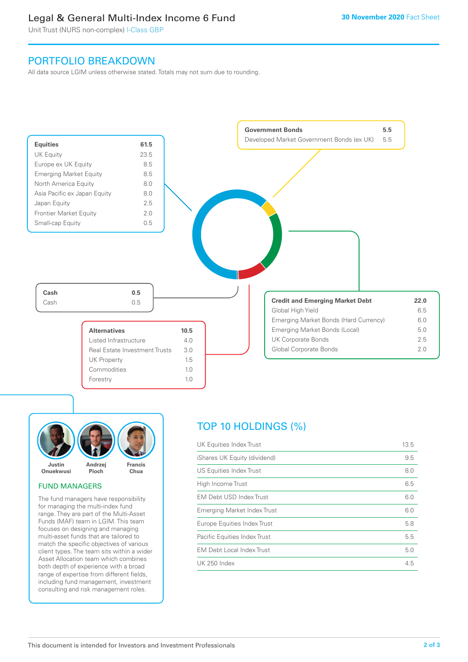### Legal & General Multi-Index Income 6 Fund

Unit Trust (NURS non-complex) I-Class GBP

### PORTFOLIO BREAKDOWN

All data source LGIM unless otherwise stated. Totals may not sum due to rounding.





### FUND MANAGERS

The fund managers have responsibility for managing the multi-index fund range. They are part of the Multi-Asset Funds (MAF) team in LGIM. This team focuses on designing and managing multi-asset funds that are tailored to match the specific objectives of various client types. The team sits within a wider Asset Allocation team which combines both depth of experience with a broad range of expertise from different fields, including fund management, investment consulting and risk management roles.

## TOP 10 HOLDINGS (%)

| UK Equities Index Trust          | 13.5 |
|----------------------------------|------|
| iShares UK Equity (dividend)     | 9.5  |
| US Equities Index Trust          | 8.0  |
| High Income Trust                | 6.5  |
| EM Debt USD Index Trust          | 6.0  |
| Emerging Market Index Trust      | 6.0  |
| Europe Equities Index Trust      | 5.8  |
| Pacific Equities Index Trust     | 5.5  |
| <b>EM Debt Local Index Trust</b> | 5.0  |
| UK 250 Index                     | 4.5  |
|                                  |      |